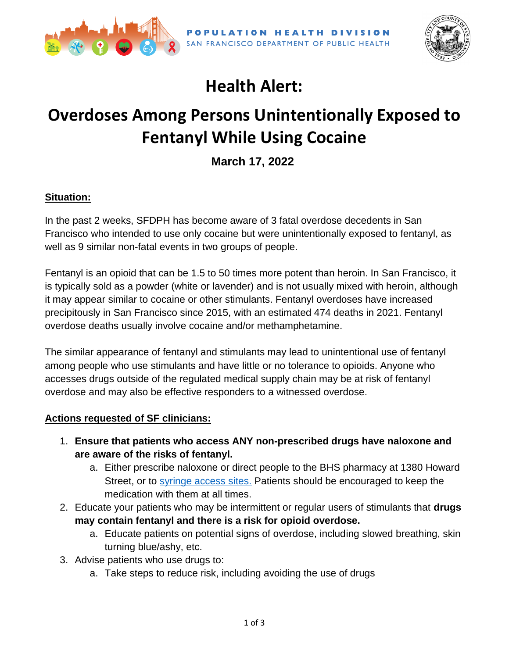



# **Health Alert:**

## **Overdoses Among Persons Unintentionally Exposed to Fentanyl While Using Cocaine**

**March 17, 2022**

#### **Situation:**

In the past 2 weeks, SFDPH has become aware of 3 fatal overdose decedents in San Francisco who intended to use only cocaine but were unintentionally exposed to fentanyl, as well as 9 similar non-fatal events in two groups of people.

Fentanyl is an opioid that can be 1.5 to 50 times more potent than heroin. In San Francisco, it is typically sold as a powder (white or lavender) and is not usually mixed with heroin, although it may appear similar to cocaine or other stimulants. Fentanyl overdoses have increased precipitously in San Francisco since 2015, with an estimated 474 deaths in 2021. Fentanyl overdose deaths usually involve cocaine and/or methamphetamine.

The similar appearance of fentanyl and stimulants may lead to unintentional use of fentanyl among people who use stimulants and have little or no tolerance to opioids. Anyone who accesses drugs outside of the regulated medical supply chain may be at risk of fentanyl overdose and may also be effective responders to a witnessed overdose.

#### **Actions requested of SF clinicians:**

- 1. **Ensure that patients who access ANY non-prescribed drugs have naloxone and are aware of the risks of fentanyl.**
	- a. Either prescribe naloxone or direct people to the BHS pharmacy at 1380 Howard Street, or to [syringe access sites.](https://drive.google.com/drive/folders/1PgpmPSTY1gKY6mFZDH5xDSxbg4vxEMf7?usp=sharing) Patients should be encouraged to keep the medication with them at all times.
- 2. Educate your patients who may be intermittent or regular users of stimulants that **drugs may contain fentanyl and there is a risk for opioid overdose.** 
	- a. Educate patients on potential signs of overdose, including slowed breathing, skin turning blue/ashy, etc.
- 3. Advise patients who use drugs to:
	- a. Take steps to reduce risk, including avoiding the use of drugs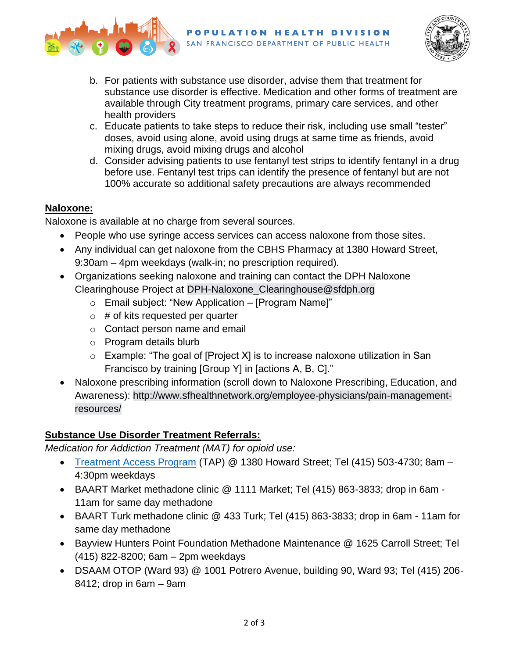



- b. For patients with substance use disorder, advise them that treatment for substance use disorder is effective. Medication and other forms of treatment are available through City treatment programs, primary care services, and other health providers
- c. Educate patients to take steps to reduce their risk, including use small "tester" doses, avoid using alone, avoid using drugs at same time as friends, avoid mixing drugs, avoid mixing drugs and alcohol
- d. Consider advising patients to use fentanyl test strips to identify fentanyl in a drug before use. Fentanyl test trips can identify the presence of fentanyl but are not 100% accurate so additional safety precautions are always recommended

#### **Naloxone:**

Naloxone is available at no charge from several sources.

- People who use syringe access services can access naloxone from those sites.
- Any individual can get naloxone from the CBHS Pharmacy at 1380 Howard Street, 9:30am – 4pm weekdays (walk-in; no prescription required).
- Organizations seeking naloxone and training can contact the DPH Naloxone Clearinghouse Project at DPH-Naloxone\_Clearinghouse@sfdph.org
	- $\circ$  Email subject: "New Application [Program Name]"
	- $\circ$  # of kits requested per quarter
	- o Contact person name and email
	- o Program details blurb
	- o Example: "The goal of [Project X] is to increase naloxone utilization in San Francisco by training [Group Y] in [actions A, B, C]."
- Naloxone prescribing information (scroll down to Naloxone Prescribing, Education, and Awareness): http://www.sfhealthnetwork.org/employee-physicians/pain-managementresources/

### **Substance Use Disorder Treatment Referrals:**

*Medication for Addiction Treatment (MAT) for opioid use:*

- [Treatment Access Program](https://www.sfdph.org/dph/comupg/oservices/mentalHlth/TAP/TAPcontact.asp) (TAP) @ 1380 Howard Street; Tel (415) 503-4730; 8am 4:30pm weekdays
- BAART Market methadone clinic @ 1111 Market; Tel (415) 863-3833; drop in 6am 11am for same day methadone
- BAART Turk methadone clinic @ 433 Turk; Tel (415) 863-3833; drop in 6am 11am for same day methadone
- Bayview Hunters Point Foundation Methadone Maintenance @ 1625 Carroll Street; Tel (415) 822-8200; 6am – 2pm weekdays
- DSAAM OTOP (Ward 93) @ 1001 Potrero Avenue, building 90, Ward 93; Tel (415) 206- 8412; drop in 6am – 9am